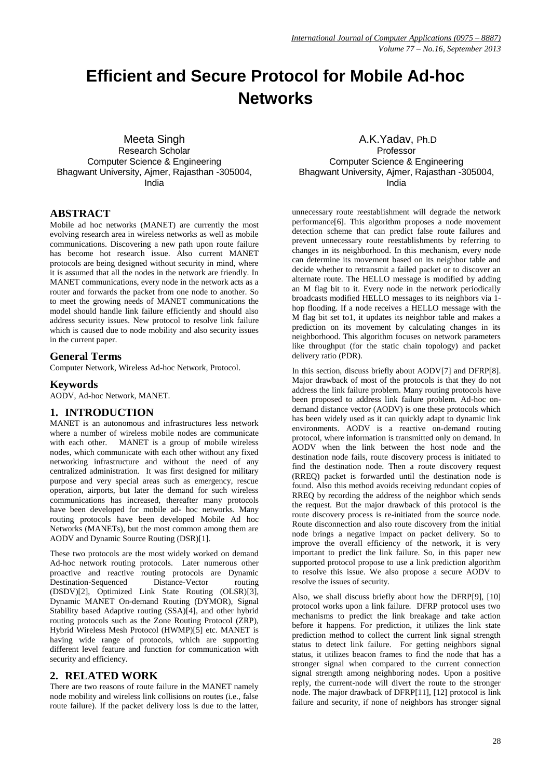# **Efficient and Secure Protocol for Mobile Ad-hoc Networks**

Meeta Singh Research Scholar Computer Science & Engineering Bhagwant University, Ajmer, Rajasthan -305004, India

## **ABSTRACT**

Mobile ad hoc networks (MANET) are currently the most evolving research area in wireless networks as well as mobile communications. Discovering a new path upon route failure has become hot research issue. Also current MANET protocols are being designed without security in mind, where it is assumed that all the nodes in the network are friendly. In MANET communications, every node in the network acts as a router and forwards the packet from one node to another. So to meet the growing needs of MANET communications the model should handle link failure efficiently and should also address security issues. New protocol to resolve link failure which is caused due to node mobility and also security issues in the current paper.

#### **General Terms**

Computer Network, Wireless Ad-hoc Network, Protocol.

#### **Keywords**

AODV, Ad-hoc Network, MANET.

#### **1. INTRODUCTION**

MANET is an autonomous and infrastructures less network where a number of wireless mobile nodes are communicate with each other. MANET is a group of mobile wireless nodes, which communicate with each other without any fixed networking infrastructure and without the need of any centralized administration. It was first designed for military purpose and very special areas such as emergency, rescue operation, airports, but later the demand for such wireless communications has increased, thereafter many protocols have been developed for mobile ad- hoc networks. Many routing protocols have been developed Mobile Ad hoc Networks (MANETs), but the most common among them are AODV and Dynamic Source Routing (DSR)[1].

These two protocols are the most widely worked on demand Ad-hoc network routing protocols. Later numerous other proactive and reactive routing protocols are Dynamic Destination-Sequenced Distance-Vector routing (DSDV)[2], Optimized Link State Routing (OLSR)[3], Dynamic MANET On-demand Routing (DYMOR), Signal Stability based Adaptive routing (SSA)[4], and other hybrid routing protocols such as the Zone Routing Protocol (ZRP), Hybrid Wireless Mesh Protocol (HWMP)[5] etc. MANET is having wide range of protocols, which are supporting different level feature and function for communication with security and efficiency.

## **2. RELATED WORK**

There are two reasons of route failure in the MANET namely node mobility and wireless link collisions on routes (i.e., false route failure). If the packet delivery loss is due to the latter,

A.K.Yadav, Ph.D Professor Computer Science & Engineering Bhagwant University, Ajmer, Rajasthan -305004, India

unnecessary route reestablishment will degrade the network performance[6]. This algorithm proposes a node movement detection scheme that can predict false route failures and prevent unnecessary route reestablishments by referring to changes in its neighborhood. In this mechanism, every node can determine its movement based on its neighbor table and decide whether to retransmit a failed packet or to discover an alternate route. The HELLO message is modified by adding an M flag bit to it. Every node in the network periodically broadcasts modified HELLO messages to its neighbors via 1 hop flooding. If a node receives a HELLO message with the M flag bit set to1, it updates its neighbor table and makes a prediction on its movement by calculating changes in its neighborhood. This algorithm focuses on network parameters like throughput (for the static chain topology) and packet delivery ratio (PDR).

In this section, discuss briefly about AODV[7] and DFRP[8]. Major drawback of most of the protocols is that they do not address the link failure problem. Many routing protocols have been proposed to address link failure problem. Ad-hoc ondemand distance vector (AODV) is one these protocols which has been widely used as it can quickly adapt to dynamic link environments. AODV is a reactive on-demand routing protocol, where information is transmitted only on demand. In AODV when the link between the host node and the destination node fails, route discovery process is initiated to find the destination node. Then a route discovery request (RREQ) packet is forwarded until the destination node is found. Also this method avoids receiving redundant copies of RREQ by recording the address of the neighbor which sends the request. But the major drawback of this protocol is the route discovery process is re-initiated from the source node. Route disconnection and also route discovery from the initial node brings a negative impact on packet delivery. So to improve the overall efficiency of the network, it is very important to predict the link failure. So, in this paper new supported protocol propose to use a link prediction algorithm to resolve this issue. We also propose a secure AODV to resolve the issues of security.

Also, we shall discuss briefly about how the DFRP[9], [10] protocol works upon a link failure. DFRP protocol uses two mechanisms to predict the link breakage and take action before it happens. For prediction, it utilizes the link state prediction method to collect the current link signal strength status to detect link failure. For getting neighbors signal status, it utilizes beacon frames to find the node that has a stronger signal when compared to the current connection signal strength among neighboring nodes. Upon a positive reply, the current-node will divert the route to the stronger node. The major drawback of DFRP[11], [12] protocol is link failure and security, if none of neighbors has stronger signal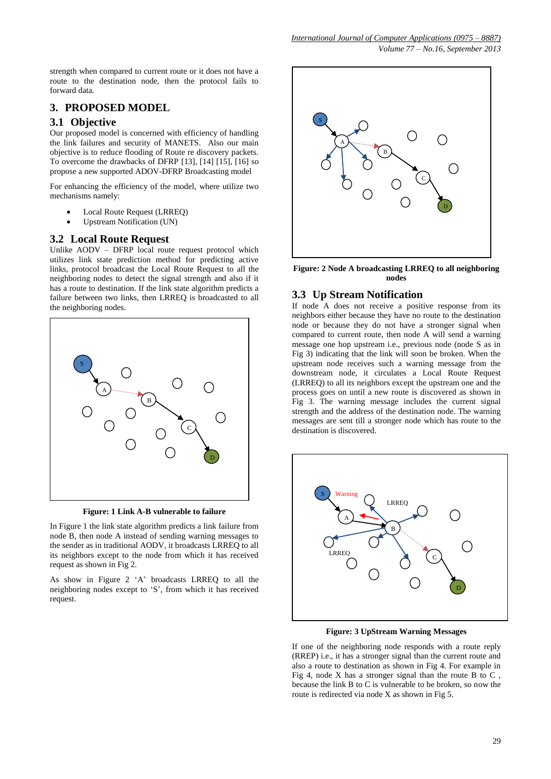strength when compared to current route or it does not have a route to the destination node, then the protocol fails to forward data.

## **3. PROPOSED MODEL**

## **3.1 Objective**

Our proposed model is concerned with efficiency of handling the link failures and security of MANETS. Also our main objective is to reduce flooding of Route re discovery packets. To overcome the drawbacks of DFRP [13], [14] [15], [16] so propose a new supported ADOV-DFRP Broadcasting model

For enhancing the efficiency of the model, where utilize two mechanisms namely:

- Local Route Request (LRREQ)
- Upstream Notification (UN)

## **3.2 Local Route Request**

Unlike AODV – DFRP local route request protocol which utilizes link state prediction method for predicting active links, protocol broadcast the Local Route Request to all the neighboring nodes to detect the signal strength and also if it has a route to destination. If the link state algorithm predicts a failure between two links, then LRREQ is broadcasted to all the neighboring nodes.



**Figure: 1 Link A-B vulnerable to failure**

In Figure 1 the link state algorithm predicts a link failure from node B, then node A instead of sending warning messages to the sender as in traditional AODV, it broadcasts LRREQ to all its neighbors except to the node from which it has received request as shown in Fig 2.

As show in Figure 2 'A' broadcasts LRREQ to all the neighboring nodes except to 'S', from which it has received request.



**Figure: 2 Node A broadcasting LRREQ to all neighboring nodes**

## **3.3 Up Stream Notification**

If node A does not receive a positive response from its neighbors either because they have no route to the destination node or because they do not have a stronger signal when compared to current route, then node A will send a warning message one hop upstream i.e., previous node (node S as in Fig 3) indicating that the link will soon be broken. When the upstream node receives such a warning message from the downstream node, it circulates a Local Route Request (LRREQ) to all its neighbors except the upstream one and the process goes on until a new route is discovered as shown in Fig 3. The warning message includes the current signal strength and the address of the destination node. The warning messages are sent till a stronger node which has route to the destination is discovered.



**Figure: 3 UpStream Warning Messages**

If one of the neighboring node responds with a route reply (RREP) i.e., it has a stronger signal than the current route and also a route to destination as shown in Fig 4. For example in Fig 4, node X has a stronger signal than the route B to  $C$ . because the link B to C is vulnerable to be broken, so now the route is redirected via node X as shown in Fig 5.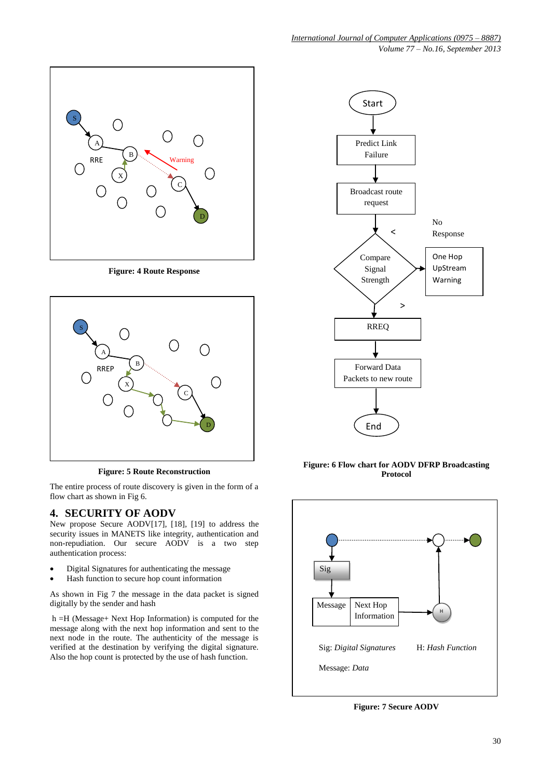

**Figure: 4 Route Response**



**Figure: 5 Route Reconstruction**

The entire process of route discovery is given in the form of a flow chart as shown in Fig 6.

# **4. SECURITY OF AODV**

New propose Secure AODV[17], [18], [19] to address the security issues in MANETS like integrity, authentication and non-repudiation. Our secure AODV is a two step authentication process:

- Digital Signatures for authenticating the message
- Hash function to secure hop count information

As shown in Fig 7 the message in the data packet is signed digitally by the sender and hash

h =H (Message+ Next Hop Information) is computed for the message along with the next hop information and sent to the next node in the route. The authenticity of the message is verified at the destination by verifying the digital signature. Also the hop count is protected by the use of hash function.



**Figure: 6 Flow chart for AODV DFRP Broadcasting Protocol**



**Figure: 7 Secure AODV**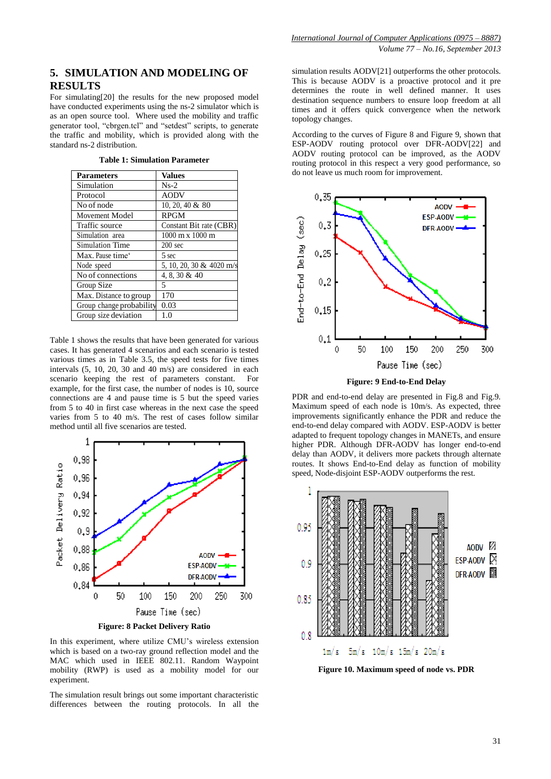# **5. SIMULATION AND MODELING OF RESULTS**

For simulating[20] the results for the new proposed model have conducted experiments using the ns-2 simulator which is as an open source tool. Where used the mobility and traffic generator tool, "cbrgen.tcl" and "setdest" scripts, to generate the traffic and mobility, which is provided along with the standard ns-2 distribution.

| <b>Parameters</b>            | <b>Values</b>                          |
|------------------------------|----------------------------------------|
| Simulation                   | $Ns-2$                                 |
| Protocol                     | <b>AODV</b>                            |
| No of node                   | 10, 20, 40 $&$ 80                      |
| Movement Model               | <b>RPGM</b>                            |
| Traffic source               | Constant Bit rate (CBR)                |
| Simulation area              | $1000 \text{ m} \times 1000 \text{ m}$ |
| Simulation Time              | $200 \text{ sec}$                      |
| Max. Pause time <sup>®</sup> | 5 sec                                  |
| Node speed                   | 5, 10, 20, 30 & 4020 m/s               |
| No of connections            | 4, 8, 30 & 40                          |
| Group Size                   | 5                                      |
| Max. Distance to group       | 170                                    |
| Group change probability     | 0.03                                   |
| Group size deviation         | 1.0                                    |
|                              |                                        |

**Table 1: Simulation Parameter**

Table 1 shows the results that have been generated for various cases. It has generated 4 scenarios and each scenario is tested various times as in Table 3.5, the speed tests for five times intervals (5, 10, 20, 30 and 40 m/s) are considered in each scenario keeping the rest of parameters constant. For example, for the first case, the number of nodes is 10, source connections are 4 and pause time is 5 but the speed varies from 5 to 40 in first case whereas in the next case the speed varies from 5 to 40 m/s. The rest of cases follow similar method until all five scenarios are tested.



**Figure: 8 Packet Delivery Ratio**

In this experiment, where utilize CMU's wireless extension which is based on a two-ray ground reflection model and the MAC which used in IEEE 802.11. Random Waypoint mobility (RWP) is used as a mobility model for our experiment.

The simulation result brings out some important characteristic differences between the routing protocols. In all the simulation results AODV[21] outperforms the other protocols. This is because AODV is a proactive protocol and it pre determines the route in well defined manner. It uses destination sequence numbers to ensure loop freedom at all times and it offers quick convergence when the network topology changes.

According to the curves of Figure 8 and Figure 9, shown that ESP-AODV routing protocol over DFR-AODV[22] and AODV routing protocol can be improved, as the AODV routing protocol in this respect a very good performance, so do not leave us much room for improvement.



**Figure: 9 End-to-End Delay**

PDR and end-to-end delay are presented in Fig.8 and Fig.9. Maximum speed of each node is 10m/s. As expected, three improvements significantly enhance the PDR and reduce the end-to-end delay compared with AODV. ESP-AODV is better adapted to frequent topology changes in MANETs, and ensure higher PDR. Although DFR-AODV has longer end-to-end delay than AODV, it delivers more packets through alternate routes. It shows End-to-End delay as function of mobility speed, Node-disjoint ESP-AODV outperforms the rest.



**Figure 10. Maximum speed of node vs. PDR**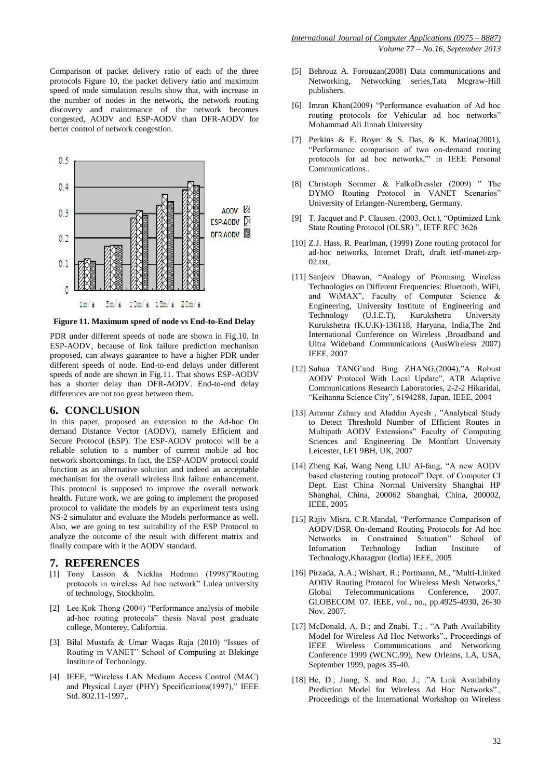Comparison of packet delivery ratio of each of the three protocols Figure 10, the packet delivery ratio and maximum speed of node simulation results show that, with increase in the number of nodes in the network, the network routing discovery and maintenance of the network becomes congested, AODV and ESP-AODV than DFR-AODV for better control of network congestion.



**Figure 11. Maximum speed of node vs End-to-End Delay**

PDR under different speeds of node are shown in Fig.10. In ESP-AODV, because of link failure prediction mechanism proposed, can always guarantee to have a higher PDR under different speeds of node. End-to-end delays under different speeds of node are shown in Fig.11. That shows ESP-AODV has a shorter delay than DFR-AODV. End-to-end delay differences are not too great between them.

#### **6. CONCLUSION**

In this paper, proposed an extension to the Ad-hoc On demand Distance Vector (AODV), namely Efficient and Secure Protocol (ESP). The ESP-AODV protocol will be a reliable solution to a number of current mobile ad hoc network shortcomings. In fact, the ESP-AODV protocol could function as an alternative solution and indeed an acceptable mechanism for the overall wireless link failure enhancement. This protocol is supposed to improve the overall network health. Future work, we are going to implement the proposed protocol to validate the models by an experiment tests using NS-2 simulator and evaluate the Models performance as well. Also, we are going to test suitability of the ESP Protocol to analyze the outcome of the result with different matrix and finally compare with it the AODV standard.

#### **7. REFERENCES**

- [1] Tony Lasson & Nicklas Hedman (1998)"Routing protocols in wireless Ad hoc network" Lulea university of technology, Stockholm.
- [2] Lee Kok Thong (2004) "Performance analysis of mobile ad-hoc routing protocols" thesis Naval post graduate college, Monterey, California.
- [3] Bilal Mustafa & Umar Waqas Raja (2010) "Issues of Routing in VANET" School of Computing at Blekinge Institute of Technology.
- [4] IEEE, "Wireless LAN Medium Access Control (MAC) and Physical Layer (PHY) Specifications(1997)," IEEE Std. 802.11-1997...
- [5] Behrouz A. Forouzan(2008) Data communications and Networking, Networking series,Tata Mcgraw-Hill publishers.
- [6] Imran Khan(2009) "Performance evaluation of Ad hoc routing protocols for Vehicular ad hoc networks" Mohammad Ali Jinnah University
- [7] Perkins & E. Royer & S. Das, & K. Marina(2001), "Performance comparison of two on-demand routing protocols for ad hoc networks,"' in IEEE Personal Communications..
- [8] Christoph Sommer & FalkoDressler (2009) " The DYMO Routing Protocol in VANET Scenarios" University of Erlangen-Nuremberg, Germany.
- [9] T. Jacquet and P. Clausen. (2003, Oct.), "Optimized Link State Routing Protocol (OLSR) ", IETF RFC 3626
- [10] Z.J. Hass, R. Pearlman, (1999) Zone routing protocol for ad-hoc networks, Internet Draft, draft ietf-manet-zrp-02.txt,
- [11] Sanjeev Dhawan, "Analogy of Promising Wireless Technologies on Different Frequencies: Bluetooth, WiFi, and WiMAX", Faculty of Computer Science & Engineering, University Institute of Engineering and Technology (U.I.E.T), Kurukshetra University Kurukshetra (K.U.K)-136118, Haryana, India,The 2nd International Conference on Wireless ,Broadband and Ultra Wideband Communications (AusWireless 2007) IEEE, 2007
- [12] Suhua TANG'and Bing ZHANG,(2004),"A Robust AODV Protocol With Local Update", ATR Adaptive Communications Research Laboratories, 2-2-2 Hikaridai, "Keihanna Science City", 6194288, Japan, IEEE, 2004
- [13] Ammar Zahary and Aladdin Ayesh, "Analytical Study to Detect Threshold Number of Efficient Routes in Multipath AODV Extensions" Faculty of Computing Sciences and Engineering De Montfort University Leicester, LE1 9BH, UK, 2007
- [14] Zheng Kai, Wang Neng LIU Ai-fang, "A new AODV based clustering routing protocol" Dept. of Computer CI Dept. East China Normal University Shanghai HP Shanghai, China, 200062 Shanghai, China, 200002, IEEE, 2005
- [15] Rajiv Misra, C.R.Mandal, "Performance Comparison of AODV/DSR On-demand Routing Protocols for Ad hoc Networks in Constrained Situation" School of Infomation Technology Indian Institute of Technology,Kharagpur (India) IEEE, 2005
- [16] Pirzada, A.A.; Wishart, R.; Portmann, M., "Multi-Linked AODV Routing Protocol for Wireless Mesh Networks," Global Telecommunications Conference, 2007. GLOBECOM '07. IEEE, vol., no., pp.4925-4930, 26-30 Nov. 2007.
- [17] McDonald, A. B.; and Znabi, T.; . "A Path Availability Model for Wireless Ad Hoc Networks"., Proceedings of IEEE Wireless Communications and Networking Conference 1999 (WCNC.99), New Orleans, LA, USA, September 1999, pages 35-40.
- [18] He, D.; Jiang, S. and Rao, J.; ."A Link Availability Prediction Model for Wireless Ad Hoc Networks"., Proceedings of the International Workshop on Wireless